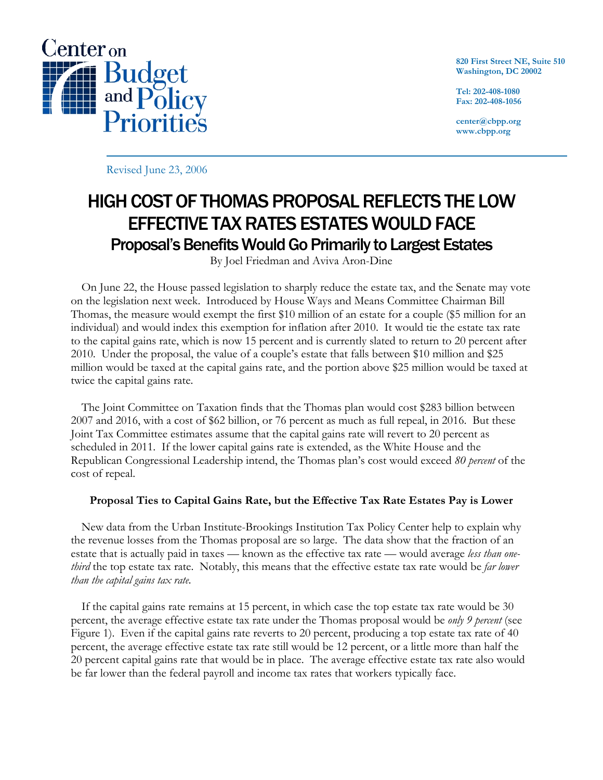

**820 First Street NE, Suite 510 Washington, DC 20002** 

**Tel: 202-408-1080 Fax: 202-408-1056** 

**center@cbpp.org www.cbpp.org** 

Revised June 23, 2006

## HIGH COST OF THOMAS PROPOSAL REFLECTS THE LOW EFFECTIVE TAX RATES ESTATES WOULD FACE Proposal's Benefits Would Go Primarily to Largest Estates

By Joel Friedman and Aviva Aron-Dine

 On June 22, the House passed legislation to sharply reduce the estate tax, and the Senate may vote on the legislation next week. Introduced by House Ways and Means Committee Chairman Bill Thomas, the measure would exempt the first \$10 million of an estate for a couple (\$5 million for an individual) and would index this exemption for inflation after 2010. It would tie the estate tax rate to the capital gains rate, which is now 15 percent and is currently slated to return to 20 percent after 2010. Under the proposal, the value of a couple's estate that falls between \$10 million and \$25 million would be taxed at the capital gains rate, and the portion above \$25 million would be taxed at twice the capital gains rate.

The Joint Committee on Taxation finds that the Thomas plan would cost \$283 billion between 2007 and 2016, with a cost of \$62 billion, or 76 percent as much as full repeal, in 2016. But these Joint Tax Committee estimates assume that the capital gains rate will revert to 20 percent as scheduled in 2011. If the lower capital gains rate is extended, as the White House and the Republican Congressional Leadership intend, the Thomas plan's cost would exceed *80 percent* of the cost of repeal.

## **Proposal Ties to Capital Gains Rate, but the Effective Tax Rate Estates Pay is Lower**

 New data from the Urban Institute-Brookings Institution Tax Policy Center help to explain why the revenue losses from the Thomas proposal are so large. The data show that the fraction of an estate that is actually paid in taxes — known as the effective tax rate — would average *less than onethird* the top estate tax rate. Notably, this means that the effective estate tax rate would be *far lower than the capital gains tax rate.*

 If the capital gains rate remains at 15 percent, in which case the top estate tax rate would be 30 percent, the average effective estate tax rate under the Thomas proposal would be *only 9 percent* (see Figure 1). Even if the capital gains rate reverts to 20 percent, producing a top estate tax rate of 40 percent, the average effective estate tax rate still would be 12 percent, or a little more than half the 20 percent capital gains rate that would be in place. The average effective estate tax rate also would be far lower than the federal payroll and income tax rates that workers typically face.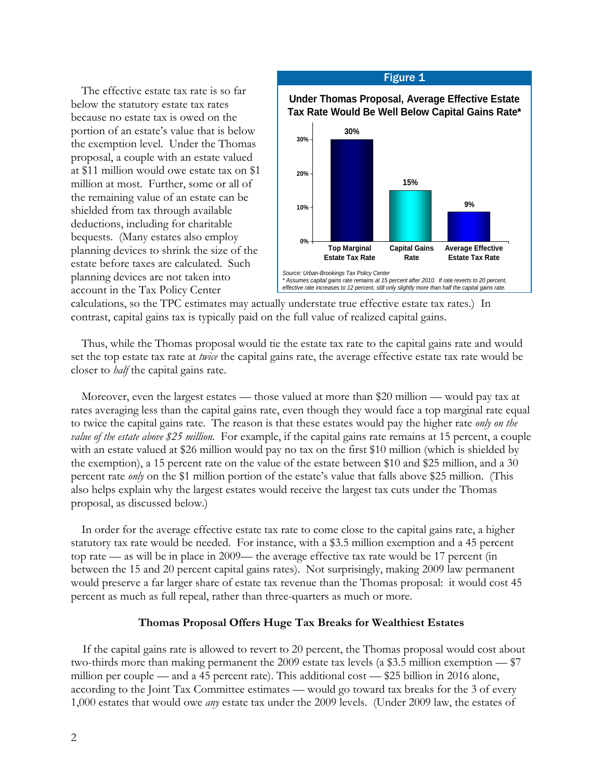The effective estate tax rate is so far below the statutory estate tax rates because no estate tax is owed on the portion of an estate's value that is below the exemption level. Under the Thomas proposal, a couple with an estate valued at \$11 million would owe estate tax on \$1 million at most. Further, some or all of the remaining value of an estate can be shielded from tax through available deductions, including for charitable bequests. (Many estates also employ planning devices to shrink the size of the estate before taxes are calculated. Such planning devices are not taken into account in the Tax Policy Center



calculations, so the TPC estimates may actually understate true effective estate tax rates.) In contrast, capital gains tax is typically paid on the full value of realized capital gains.

 Thus, while the Thomas proposal would tie the estate tax rate to the capital gains rate and would set the top estate tax rate at *twice* the capital gains rate, the average effective estate tax rate would be closer to *half* the capital gains rate.

Moreover, even the largest estates — those valued at more than \$20 million — would pay tax at rates averaging less than the capital gains rate, even though they would face a top marginal rate equal to twice the capital gains rate. The reason is that these estates would pay the higher rate *only on the value of the estate above \$25 million.* For example, if the capital gains rate remains at 15 percent, a couple with an estate valued at \$26 million would pay no tax on the first \$10 million (which is shielded by the exemption), a 15 percent rate on the value of the estate between \$10 and \$25 million, and a 30 percent rate *only* on the \$1 million portion of the estate's value that falls above \$25 million. (This also helps explain why the largest estates would receive the largest tax cuts under the Thomas proposal, as discussed below.)

 In order for the average effective estate tax rate to come close to the capital gains rate, a higher statutory tax rate would be needed. For instance, with a \$3.5 million exemption and a 45 percent top rate — as will be in place in 2009— the average effective tax rate would be 17 percent (in between the 15 and 20 percent capital gains rates). Not surprisingly, making 2009 law permanent would preserve a far larger share of estate tax revenue than the Thomas proposal: it would cost 45 percent as much as full repeal, rather than three-quarters as much or more.

## **Thomas Proposal Offers Huge Tax Breaks for Wealthiest Estates**

If the capital gains rate is allowed to revert to 20 percent, the Thomas proposal would cost about two-thirds more than making permanent the 2009 estate tax levels (a \$3.5 million exemption — \$7 million per couple — and a 45 percent rate). This additional cost — \$25 billion in 2016 alone, according to the Joint Tax Committee estimates — would go toward tax breaks for the 3 of every 1,000 estates that would owe *any* estate tax under the 2009 levels. (Under 2009 law, the estates of